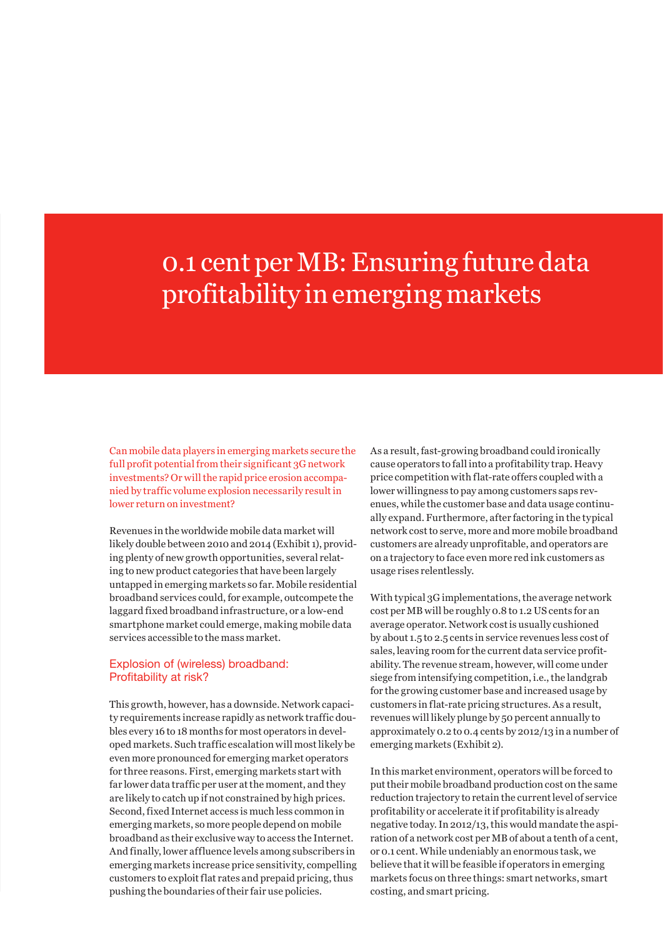# 0.1 cent per MB: Ensuring future data profitability in emerging markets

Can mobile data players in emerging markets secure the full profit potential from their significant 3G network investments? Or will the rapid price erosion accompanied by traffic volume explosion necessarily result in lower return on investment?

Revenues in the worldwide mobile data market will likely double between 2010 and 2014 (Exhibit 1), providing plenty of new growth opportunities, several relating to new product categories that have been largely untapped in emerging markets so far. Mobile residential broadband services could, for example, outcompete the laggard fixed broadband infrastructure, or a low-end smartphone market could emerge, making mobile data services accessible to the mass market.

### Explosion of (wireless) broadband: Profitability at risk?

This growth, however, has a downside. Network capacity requirements increase rapidly as network traffic doubles every 16 to 18 months for most operators in developed markets. Such traffic escalation will most likely be even more pronounced for emerging market operators for three reasons. First, emerging markets start with far lower data traffic per user at the moment, and they are likely to catch up if not constrained by high prices. Second, fixed Internet access is much less common in emerging markets, so more people depend on mobile broadband as their exclusive way to access the Internet. And finally, lower affluence levels among subscribers in emerging markets increase price sensitivity, compelling customers to exploit flat rates and prepaid pricing, thus pushing the boundaries of their fair use policies.

As a result, fast-growing broadband could ironically cause operators to fall into a profitability trap. Heavy price competition with flat-rate offers coupled with a lower willingness to pay among customers saps revenues, while the customer base and data usage continually expand. Furthermore, after factoring in the typical network cost to serve, more and more mobile broadband customers are already unprofitable, and operators are on a trajectory to face even more red ink customers as usage rises relentlessly.

With typical 3G implementations, the average network cost per MB will be roughly 0.8 to 1.2 US cents for an average operator. Network cost is usually cushioned by about 1.5 to 2.5 cents in service revenues less cost of sales, leaving room for the current data service profitability. The revenue stream, however, will come under siege from intensifying competition, i.e., the landgrab for the growing customer base and increased usage by customers in flat-rate pricing structures. As a result, revenues will likely plunge by 50 percent annually to approximately 0.2 to 0.4 cents by 2012/13 in a number of emerging markets (Exhibit 2).

In this market environment, operators will be forced to put their mobile broadband production cost on the same reduction trajectory to retain the current level of service profitability or accelerate it if profitability is already negative today. In 2012/13, this would mandate the aspiration of a network cost per MB of about a tenth of a cent, or 0.1 cent. While undeniably an enormous task, we believe that it will be feasible if operators in emerging markets focus on three things: smart networks, smart costing, and smart pricing.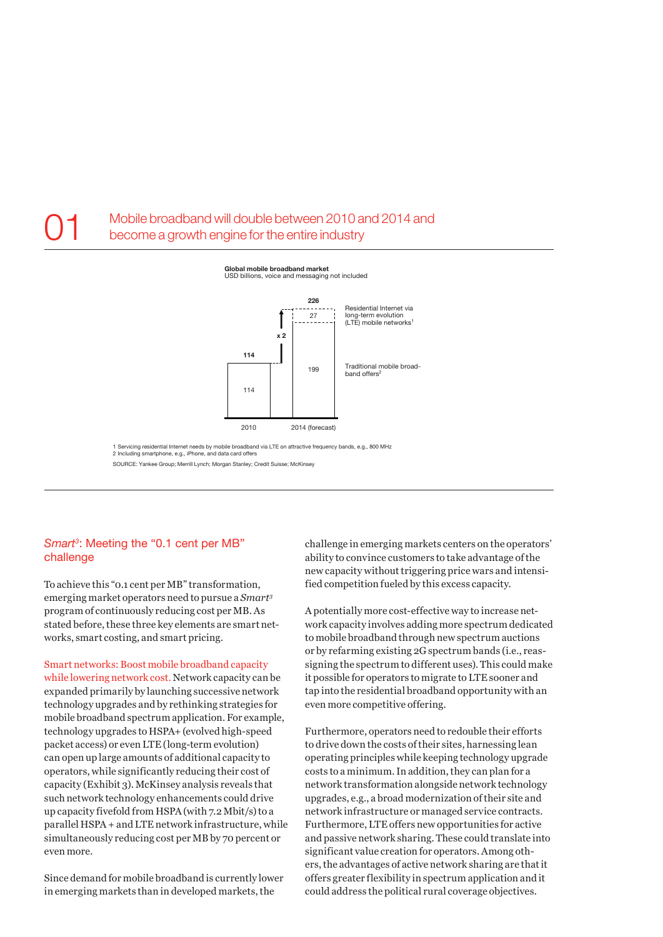# Mobile broadband will double between 2010 and 2014 and<br>become a growth engine for the entire industry become a growth engine for the entire industry

a growth engine for the entire industry the entire industry  $\mathcal{E}$ 



Global mobile broadband market USD billions, voice and messaging not included

1 Servicing residential Internet needs by mobile broadband via LTE on attractive frequency bands, e.g., 800 MHz 2 Including smartphone, e.g., iPhone, and data card offers SOURCE: Yankee Group; Merrill Lynch; Morgan Stanley; Credit Suisse; McKinsey

## Smart<sup>3</sup>: Meeting the "0.1 cent per MB" challenge

To achieve this "0.1 cent per MB" transformation, emerging market operators need to pursue a *Smart3* program of continuously reducing cost per MB. As stated before, these three key elements are smart networks, smart costing, and smart pricing.

Smart networks: Boost mobile broadband capacity while lowering network cost. Network capacity can be expanded primarily by launching successive network technology upgrades and by rethinking strategies for mobile broadband spectrum application. For example, technology upgrades to HSPA+ (evolved high-speed packet access) or even LTE (long-term evolution) can open up large amounts of additional capacity to operators, while significantly reducing their cost of capacity (Exhibit 3). McKinsey analysis reveals that such network technology enhancements could drive up capacity fivefold from HSPA (with 7.2 Mbit/s) to a parallel HSPA + and LTE network infrastructure, while simultaneously reducing cost per MB by 70 percent or even more.

Since demand for mobile broadband is currently lower in emerging markets than in developed markets, the

challenge in emerging markets centers on the operators' ability to convince customers to take advantage of the new capacity without triggering price wars and intensified competition fueled by this excess capacity.

A potentially more cost-effective way to increase network capacity involves adding more spectrum dedicated to mobile broadband through new spectrum auctions or by refarming existing 2G spectrum bands (i.e., reassigning the spectrum to different uses). This could make it possible for operators to migrate to LTE sooner and tap into the residential broadband opportunity with an even more competitive offering.

Furthermore, operators need to redouble their efforts to drive down the costs of their sites, harnessing lean operating principles while keeping technology upgrade costs to a minimum. In addition, they can plan for a network transformation alongside network technology upgrades, e.g., a broad modernization of their site and network infrastructure or managed service contracts. Furthermore, LTE offers new opportunities for active and passive network sharing. These could translate into significant value creation for operators. Among others, the advantages of active network sharing are that it offers greater flexibility in spectrum application and it could address the political rural coverage objectives.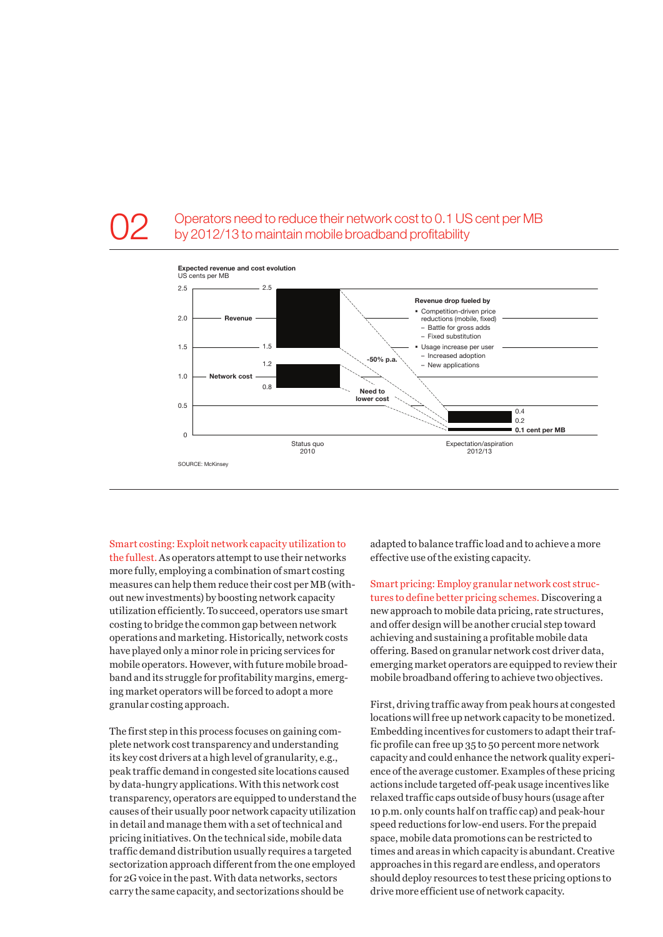# 02

# by 2012/13 to maintain mobile broadband profitability Operators need to reduce their network cost to 0.1 US cent per MB



Smart costing: Exploit network capacity utilization to the fullest. As operators attempt to use their networks more fully, employing a combination of smart costing measures can help them reduce their cost per MB (without new investments) by boosting network capacity utilization efficiently. To succeed, operators use smart costing to bridge the common gap between network operations and marketing. Historically, network costs have played only a minor role in pricing services for mobile operators. However, with future mobile broadband and its struggle for profitability margins, emerging market operators will be forced to adopt a more granular costing approach.

The first step in this process focuses on gaining complete network cost transparency and understanding its key cost drivers at a high level of granularity, e.g., peak traffic demand in congested site locations caused by data-hungry applications. With this network cost transparency, operators are equipped to understand the causes of their usually poor network capacity utilization in detail and manage them with a set of technical and pricing initiatives. On the technical side, mobile data traffic demand distribution usually requires a targeted sectorization approach different from the one employed for 2G voice in the past. With data networks, sectors carry the same capacity, and sectorizations should be

adapted to balance traffic load and to achieve a more effective use of the existing capacity.

Smart pricing: Employ granular network cost structures to define better pricing schemes. Discovering a new approach to mobile data pricing, rate structures, and offer design will be another crucial step toward achieving and sustaining a profitable mobile data offering. Based on granular network cost driver data, emerging market operators are equipped to review their mobile broadband offering to achieve two objectives.

First, driving traffic away from peak hours at congested locations will free up network capacity to be monetized. Embedding incentives for customers to adapt their traffic profile can free up 35 to 50 percent more network capacity and could enhance the network quality experience of the average customer. Examples of these pricing actions include targeted off-peak usage incentives like relaxed traffic caps outside of busy hours (usage after 10 p.m. only counts half on traffic cap) and peak-hour speed reductions for low-end users. For the prepaid space, mobile data promotions can be restricted to times and areas in which capacity is abundant. Creative approaches in this regard are endless, and operators should deploy resources to test these pricing options to drive more efficient use of network capacity.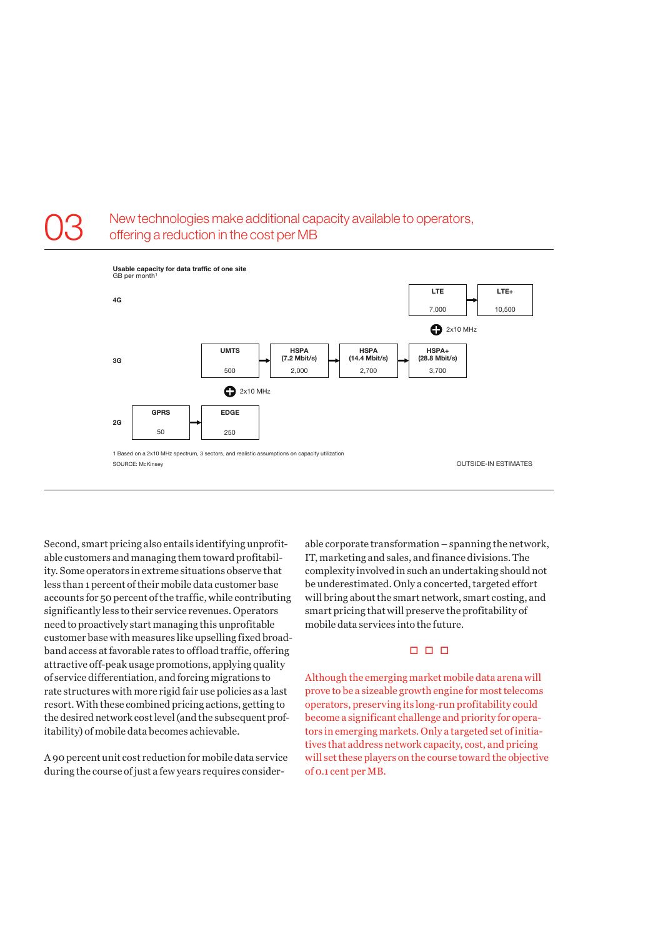# offering a reduction in the cost per MB New technologies make additional capacity available to operators,



Second, smart pricing also entails identifying unprofitable customers and managing them toward profitability. Some operators in extreme situations observe that less than 1 percent of their mobile data customer base accounts for 50 percent of the traffic, while contributing significantly less to their service revenues. Operators need to proactively start managing this unprofitable customer base with measures like upselling fixed broadband access at favorable rates to offload traffic, offering attractive off-peak usage promotions, applying quality of service differentiation, and forcing migrations to rate structures with more rigid fair use policies as a last resort. With these combined pricing actions, getting to the desired network cost level (and the subsequent profitability) of mobile data becomes achievable.

A 90 percent unit cost reduction for mobile data service during the course of just a few years requires consider-

able corporate transformation – spanning the network, IT, marketing and sales, and finance divisions. The complexity involved in such an undertaking should not be underestimated. Only a concerted, targeted effort will bring about the smart network, smart costing, and smart pricing that will preserve the profitability of mobile data services into the future.

#### $\Box$   $\Box$   $\Box$

Although the emerging market mobile data arena will prove to be a sizeable growth engine for most telecoms operators, preserving its long-run profitability could become a significant challenge and priority for operators in emerging markets. Only a targeted set of initiatives that address network capacity, cost, and pricing will set these players on the course toward the objective of 0.1 cent per MB.